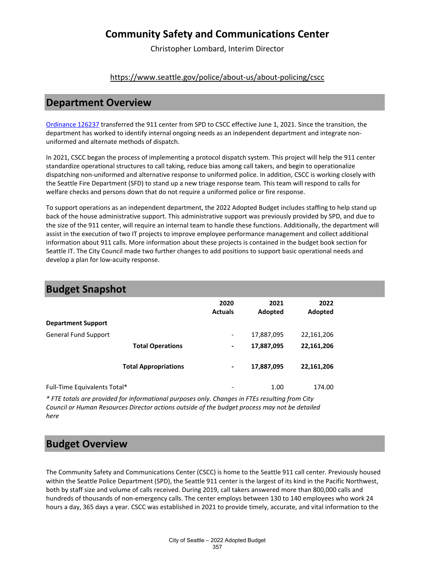Christopher Lombard, Interim Director

#### <https://www.seattle.gov/police/about-us/about-policing/cscc>

#### **Department Overview**

[Ordinance 126237](https://seattle.legistar.com/LegislationDetail.aspx?ID=4940984&GUID=4E519AC2-0750-4936-91D4-13CD9C63AF03) transferred the 911 center from SPD to CSCC effective June 1, 2021. Since the transition, the department has worked to identify internal ongoing needs as an independent department and integrate nonuniformed and alternate methods of dispatch.

In 2021, CSCC began the process of implementing a protocol dispatch system. This project will help the 911 center standardize operational structures to call taking, reduce bias among call takers, and begin to operationalize dispatching non-uniformed and alternative response to uniformed police. In addition, CSCC is working closely with the Seattle Fire Department (SFD) to stand up a new triage response team. This team will respond to calls for welfare checks and persons down that do not require a uniformed police or fire response.

To support operations as an independent department, the 2022 Adopted Budget includes staffing to help stand up back of the house administrative support. This administrative support was previously provided by SPD, and due to the size of the 911 center, will require an internal team to handle these functions. Additionally, the department will assist in the execution of two IT projects to improve employee performance management and collect additional information about 911 calls. More information about these projects is contained in the budget book section for Seattle IT. The City Council made two further changes to add positions to support basic operational needs and develop a plan for low-acuity response.

|                              | 2020<br><b>Actuals</b>       | 2021<br>Adopted | 2022<br>Adopted |  |
|------------------------------|------------------------------|-----------------|-----------------|--|
| <b>Department Support</b>    |                              |                 |                 |  |
| <b>General Fund Support</b>  | $\qquad \qquad \blacksquare$ | 17,887,095      | 22,161,206      |  |
| <b>Total Operations</b>      | $\blacksquare$               | 17,887,095      | 22,161,206      |  |
| <b>Total Appropriations</b>  | -                            | 17,887,095      | 22,161,206      |  |
| Full-Time Equivalents Total* | $\overline{\phantom{a}}$     | 1.00            | 174.00          |  |

#### **Budget Snapshot**

*\* FTE totals are provided for informational purposes only. Changes in FTEs resulting from City Council or Human Resources Director actions outside of the budget process may not be detailed here*

### **Budget Overview**

The Community Safety and Communications Center (CSCC) is home to the Seattle 911 call center. Previously housed within the Seattle Police Department (SPD), the Seattle 911 center is the largest of its kind in the Pacific Northwest, both by staff size and volume of calls received. During 2019, call takers answered more than 800,000 calls and hundreds of thousands of non-emergency calls. The center employs between 130 to 140 employees who work 24 hours a day, 365 days a year. CSCC was established in 2021 to provide timely, accurate, and vital information to the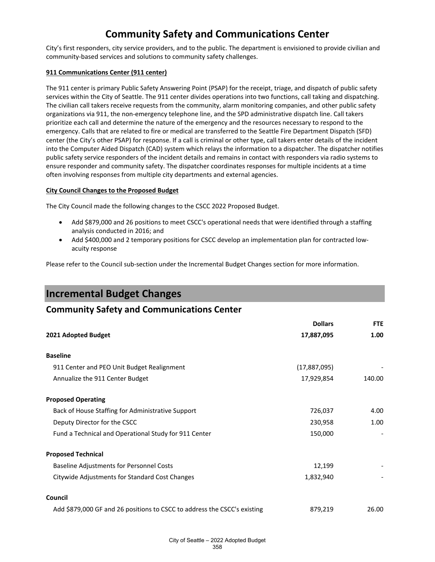City's first responders, city service providers, and to the public. The department is envisioned to provide civilian and community-based services and solutions to community safety challenges.

#### **911 Communications Center (911 center)**

The 911 center is primary Public Safety Answering Point (PSAP) for the receipt, triage, and dispatch of public safety services within the City of Seattle. The 911 center divides operations into two functions, call taking and dispatching. The civilian call takers receive requests from the community, alarm monitoring companies, and other public safety organizations via 911, the non-emergency telephone line, and the SPD administrative dispatch line. Call takers prioritize each call and determine the nature of the emergency and the resources necessary to respond to the emergency. Calls that are related to fire or medical are transferred to the Seattle Fire Department Dispatch (SFD) center (the City's other PSAP) for response. If a call is criminal or other type, call takers enter details of the incident into the Computer Aided Dispatch (CAD) system which relays the information to a dispatcher. The dispatcher notifies public safety service responders of the incident details and remains in contact with responders via radio systems to ensure responder and community safety. The dispatcher coordinates responses for multiple incidents at a time often involving responses from multiple city departments and external agencies.

#### **City Council Changes to the Proposed Budget**

The City Council made the following changes to the CSCC 2022 Proposed Budget.

- Add \$879,000 and 26 positions to meet CSCC's operational needs that were identified through a staffing analysis conducted in 2016; and
- Add \$400,000 and 2 temporary positions for CSCC develop an implementation plan for contracted lowacuity response

Please refer to the Council sub-section under the Incremental Budget Changes section for more information.

### **Incremental Budget Changes**

#### **Community Safety and Communications Center**

|                                                                          | <b>Dollars</b> | <b>FTE</b> |
|--------------------------------------------------------------------------|----------------|------------|
| 2021 Adopted Budget                                                      | 17,887,095     | 1.00       |
| <b>Baseline</b>                                                          |                |            |
| 911 Center and PEO Unit Budget Realignment                               | (17,887,095)   |            |
| Annualize the 911 Center Budget                                          | 17,929,854     | 140.00     |
| <b>Proposed Operating</b>                                                |                |            |
| Back of House Staffing for Administrative Support                        | 726,037        | 4.00       |
| Deputy Director for the CSCC                                             | 230,958        | 1.00       |
| Fund a Technical and Operational Study for 911 Center                    | 150,000        |            |
| <b>Proposed Technical</b>                                                |                |            |
| <b>Baseline Adjustments for Personnel Costs</b>                          | 12,199         |            |
| Citywide Adjustments for Standard Cost Changes                           | 1,832,940      |            |
| Council                                                                  |                |            |
| Add \$879,000 GF and 26 positions to CSCC to address the CSCC's existing | 879,219        | 26.00      |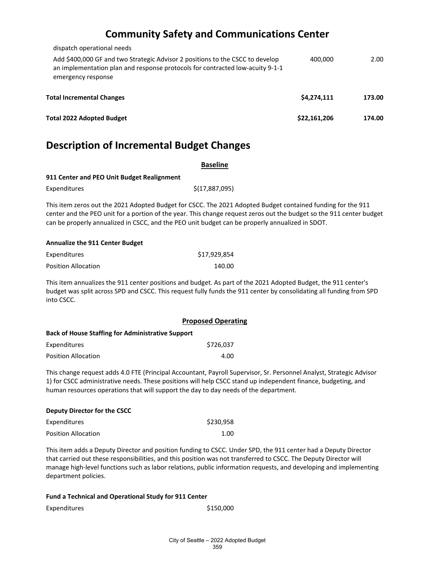| 400.000      | 2.00   |
|--------------|--------|
| \$4,274,111  | 173.00 |
| \$22,161,206 | 174.00 |
|              |        |

### **Description of Incremental Budget Changes**

| <b>Baseline</b>                                                                                 |                                                                                                                                                                                                                                     |
|-------------------------------------------------------------------------------------------------|-------------------------------------------------------------------------------------------------------------------------------------------------------------------------------------------------------------------------------------|
| 911 Center and PEO Unit Budget Realignment                                                      |                                                                                                                                                                                                                                     |
| Expenditures                                                                                    | \$(17,887,095)                                                                                                                                                                                                                      |
| can be properly annualized in CSCC, and the PEO unit budget can be properly annualized in SDOT. | This item zeros out the 2021 Adopted Budget for CSCC. The 2021 Adopted Budget contained funding for the 911<br>center and the PEO unit for a portion of the year. This change request zeros out the budget so the 911 center budget |

#### **Annualize the 911 Center Budget**

| Expenditures               | \$17,929,854 |
|----------------------------|--------------|
| <b>Position Allocation</b> | 140.00       |

This item annualizes the 911 center positions and budget. As part of the 2021 Adopted Budget, the 911 center's budget was split across SPD and CSCC. This request fully funds the 911 center by consolidating all funding from SPD into CSCC.

|                                                          | <b>Proposed Operating</b> |
|----------------------------------------------------------|---------------------------|
| <b>Back of House Staffing for Administrative Support</b> |                           |
| Expenditures                                             | \$726,037                 |
| <b>Position Allocation</b>                               | 4.00                      |

This change request adds 4.0 FTE (Principal Accountant, Payroll Supervisor, Sr. Personnel Analyst, Strategic Advisor 1) for CSCC administrative needs. These positions will help CSCC stand up independent finance, budgeting, and human resources operations that will support the day to day needs of the department.

| Deputy Director for the CSCC |           |
|------------------------------|-----------|
| Expenditures                 | \$230.958 |
| <b>Position Allocation</b>   | 1.00      |

This item adds a Deputy Director and position funding to CSCC. Under SPD, the 911 center had a Deputy Director that carried out these responsibilities, and this position was not transferred to CSCC. The Deputy Director will manage high-level functions such as labor relations, public information requests, and developing and implementing department policies.

| Fund a Technical and Operational Study for 911 Center |           |
|-------------------------------------------------------|-----------|
| Expenditures                                          | \$150,000 |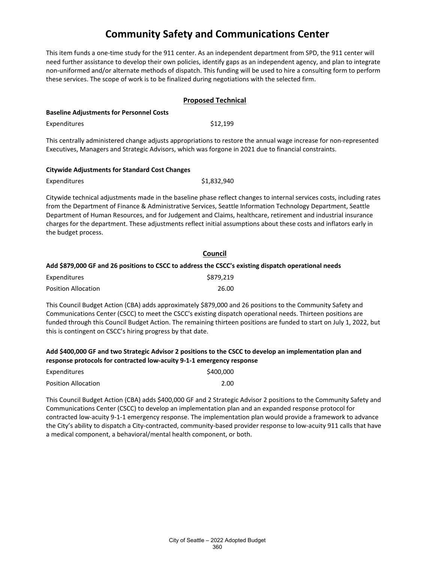This item funds a one-time study for the 911 center. As an independent department from SPD, the 911 center will need further assistance to develop their own policies, identify gaps as an independent agency, and plan to integrate non-uniformed and/or alternate methods of dispatch. This funding will be used to hire a consulting form to perform these services. The scope of work is to be finalized during negotiations with the selected firm.

|                                                 | <b>Proposed Technical</b>                                                                                         |  |
|-------------------------------------------------|-------------------------------------------------------------------------------------------------------------------|--|
| <b>Baseline Adjustments for Personnel Costs</b> |                                                                                                                   |  |
| Expenditures                                    | \$12,199                                                                                                          |  |
|                                                 | This centrally administered change adjusts appropriations to restore the annual wage increase for non-represented |  |
|                                                 | Executives, Managers and Strategic Advisors, which was forgone in 2021 due to financial constraints.              |  |

| <b>Citywide Adjustments for Standard Cost Changes</b> |  |  |
|-------------------------------------------------------|--|--|
|                                                       |  |  |

| Expenditures | \$1,832,940 |
|--------------|-------------|
|              |             |

Citywide technical adjustments made in the baseline phase reflect changes to internal services costs, including rates from the Department of Finance & Administrative Services, Seattle Information Technology Department, Seattle Department of Human Resources, and for Judgement and Claims, healthcare, retirement and industrial insurance charges for the department. These adjustments reflect initial assumptions about these costs and inflators early in the budget process.

| Council                                                                                             |
|-----------------------------------------------------------------------------------------------------|
| Add \$879,000 GF and 26 positions to CSCC to address the CSCC's existing dispatch operational needs |
| \$879.219                                                                                           |
| 26.00                                                                                               |
|                                                                                                     |

This Council Budget Action (CBA) adds approximately \$879,000 and 26 positions to the Community Safety and Communications Center (CSCC) to meet the CSCC's existing dispatch operational needs. Thirteen positions are funded through this Council Budget Action. The remaining thirteen positions are funded to start on July 1, 2022, but this is contingent on CSCC's hiring progress by that date.

**Add \$400,000 GF and two Strategic Advisor 2 positions to the CSCC to develop an implementation plan and response protocols for contracted low-acuity 9-1-1 emergency response**

| Expenditures               | \$400,000 |
|----------------------------|-----------|
| <b>Position Allocation</b> | 2.00      |

This Council Budget Action (CBA) adds \$400,000 GF and 2 Strategic Advisor 2 positions to the Community Safety and Communications Center (CSCC) to develop an implementation plan and an expanded response protocol for contracted low-acuity 9-1-1 emergency response. The implementation plan would provide a framework to advance the City's ability to dispatch a City-contracted, community-based provider response to low-acuity 911 calls that have a medical component, a behavioral/mental health component, or both.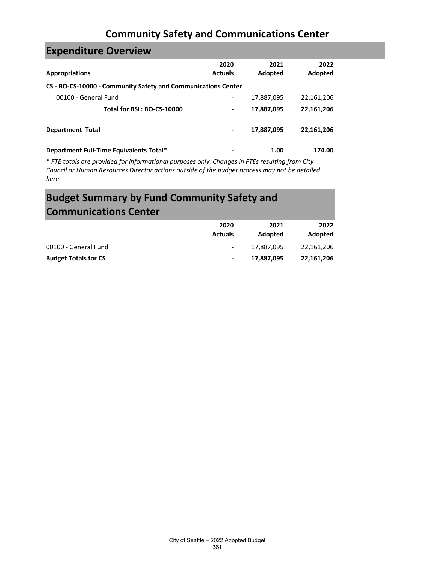| <b>Expenditure Overview</b>                                   |                              |                 |                 |
|---------------------------------------------------------------|------------------------------|-----------------|-----------------|
| <b>Appropriations</b>                                         | 2020<br><b>Actuals</b>       | 2021<br>Adopted | 2022<br>Adopted |
| CS - BO-CS-10000 - Community Safety and Communications Center |                              |                 |                 |
| 00100 - General Fund                                          | $\qquad \qquad \blacksquare$ | 17,887,095      | 22,161,206      |
| Total for BSL: BO-CS-10000                                    | $\blacksquare$               | 17,887,095      | 22,161,206      |
| <b>Department Total</b>                                       |                              | 17,887,095      | 22,161,206      |
| Department Full-Time Equivalents Total*                       | -                            | 1.00            | 174.00          |

*\* FTE totals are provided for informational purposes only. Changes in FTEs resulting from City Council or Human Resources Director actions outside of the budget process may not be detailed here*

# **Budget Summary by Fund Community Safety and Communications Center**

|                             | 2020<br><b>Actuals</b>   | 2021<br>Adopted | 2022<br>Adopted |
|-----------------------------|--------------------------|-----------------|-----------------|
| 00100 - General Fund        | $\overline{\phantom{a}}$ | 17.887.095      | 22.161.206      |
| <b>Budget Totals for CS</b> | $\blacksquare$           | 17,887,095      | 22,161,206      |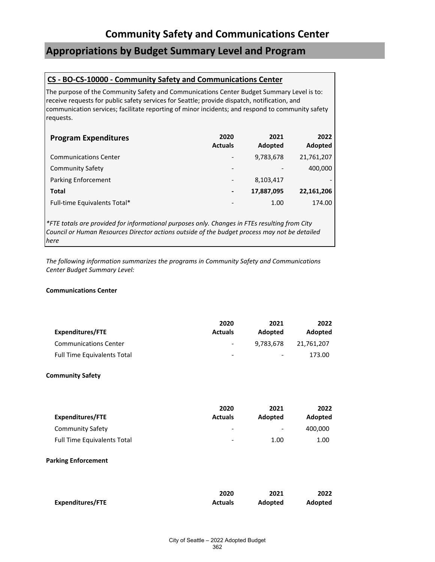### **Appropriations by Budget Summary Level and Program**

#### **CS - BO-CS-10000 - Community Safety and Communications Center**

The purpose of the Community Safety and Communications Center Budget Summary Level is to: receive requests for public safety services for Seattle; provide dispatch, notification, and communication services; facilitate reporting of minor incidents; and respond to community safety requests.

| <b>Program Expenditures</b>  | 2020<br><b>Actuals</b>       | 2021<br>Adopted          | 2022<br>Adopted |
|------------------------------|------------------------------|--------------------------|-----------------|
| <b>Communications Center</b> | $\overline{\phantom{a}}$     | 9,783,678                | 21,761,207      |
| <b>Community Safety</b>      | $\qquad \qquad \blacksquare$ | $\overline{\phantom{0}}$ | 400,000         |
| <b>Parking Enforcement</b>   | -                            | 8,103,417                |                 |
| Total                        | $\blacksquare$               | 17,887,095               | 22,161,206      |
| Full-time Equivalents Total* | $\qquad \qquad \blacksquare$ | 1.00                     | 174.00          |

*\*FTE totals are provided for informational purposes only. Changes in FTEs resulting from City Council or Human Resources Director actions outside of the budget process may not be detailed here*

*The following information summarizes the programs in Community Safety and Communications Center Budget Summary Level:*

#### **Communications Center**

| Expenditures/FTE                   | 2020<br><b>Actuals</b>   | 2021<br>Adopted          | 2022<br>Adopted |
|------------------------------------|--------------------------|--------------------------|-----------------|
| <b>Communications Center</b>       | $\overline{\phantom{0}}$ | 9.783.678                | 21.761.207      |
| <b>Full Time Equivalents Total</b> | -                        | $\overline{\phantom{a}}$ | 173.00          |

#### **Community Safety**

|                                    | 2020                     | 2021                         | 2022    |
|------------------------------------|--------------------------|------------------------------|---------|
| Expenditures/FTE                   | <b>Actuals</b>           | Adopted                      | Adopted |
| Community Safety                   | $\overline{\phantom{a}}$ | $\qquad \qquad \blacksquare$ | 400.000 |
| <b>Full Time Equivalents Total</b> | -                        | 1.00                         | 1.00    |

#### **Parking Enforcement**

|                         | 2020           | 2021    | 2022    |
|-------------------------|----------------|---------|---------|
| <b>Expenditures/FTE</b> | <b>Actuals</b> | Adopted | Adopted |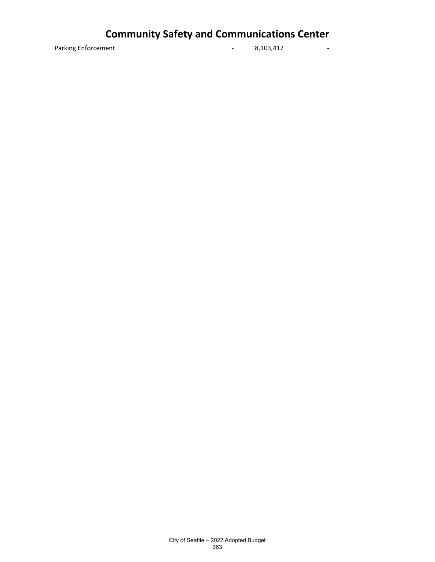Parking Enforcement **1988** - 8,103,417